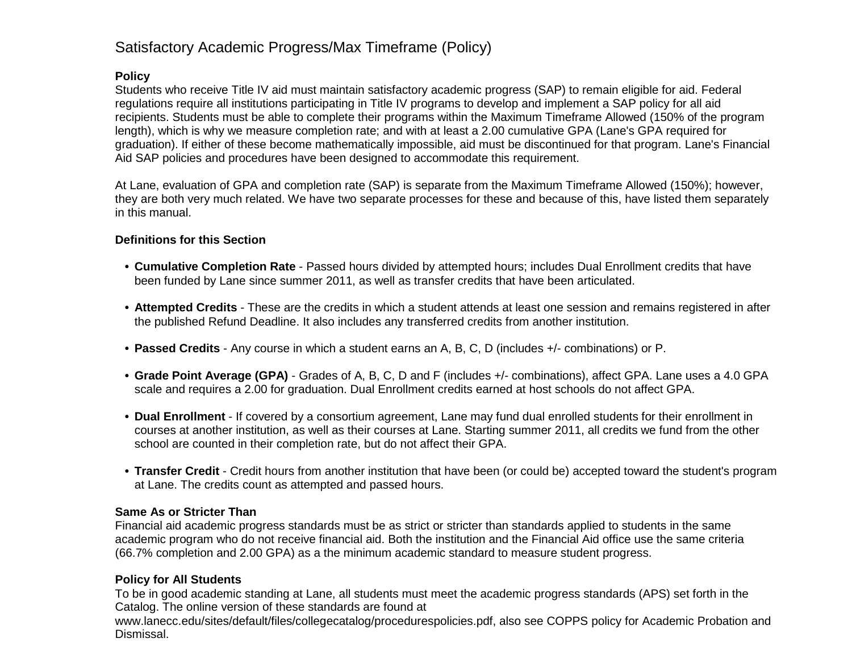# Satisfactory Academic Progress/Max Timeframe (Policy)

### **Policy**

Students who receive Title IV aid must maintain satisfactory academic progress (SAP) to remain eligible for aid. Federal regulations require all institutions participating in Title IV programs to develop and implement a SAP policy for all aid recipients. Students must be able to complete their programs within the Maximum Timeframe Allowed (150% of the program length), which is why we measure completion rate; and with at least a 2.00 cumulative GPA (Lane's GPA required for graduation). If either of these become mathematically impossible, aid must be discontinued for that program. Lane's Financial Aid SAP policies and procedures have been designed to accommodate this requirement.

At Lane, evaluation of GPA and completion rate (SAP) is separate from the Maximum Timeframe Allowed (150%); however, they are both very much related. We have two separate processes for these and because of this, have listed them separately in this manual.

#### **Definitions for this Section**

- **• Cumulative Completion Rate** Passed hours divided by attempted hours; includes Dual Enrollment credits that have been funded by Lane since summer 2011, as well as transfer credits that have been articulated.
- **• Attempted Credits** These are the credits in which a student attends at least one session and remains registered in after the published Refund Deadline. It also includes any transferred credits from another institution.
- **• Passed Credits** Any course in which a student earns an A, B, C, D (includes +/- combinations) or P.
- **• Grade Point Average (GPA)** Grades of A, B, C, D and F (includes +/- combinations), affect GPA. Lane uses a 4.0 GPA scale and requires a 2.00 for graduation. Dual Enrollment credits earned at host schools do not affect GPA.
- **• Dual Enrollment** If covered by a consortium agreement, Lane may fund dual enrolled students for their enrollment in courses at another institution, as well as their courses at Lane. Starting summer 2011, all credits we fund from the other school are counted in their completion rate, but do not affect their GPA.
- **• Transfer Credit** Credit hours from another institution that have been (or could be) accepted toward the student's program at Lane. The credits count as attempted and passed hours.

#### **Same As or Stricter Than**

Financial aid academic progress standards must be as strict or stricter than standards applied to students in the same academic program who do not receive financial aid. Both the institution and the Financial Aid office use the same criteria (66.7% completion and 2.00 GPA) as a the minimum academic standard to measure student progress.

#### **Policy for All Students**

To be in good academic standing at Lane, all students must meet the academic progress standards (APS) set forth in the Catalog. The online version of these standards are found at

www.lanecc.edu/sites/default/files/collegecatalog/procedurespolicies.pdf, also see COPPS policy for Academic Probation and Dismissal.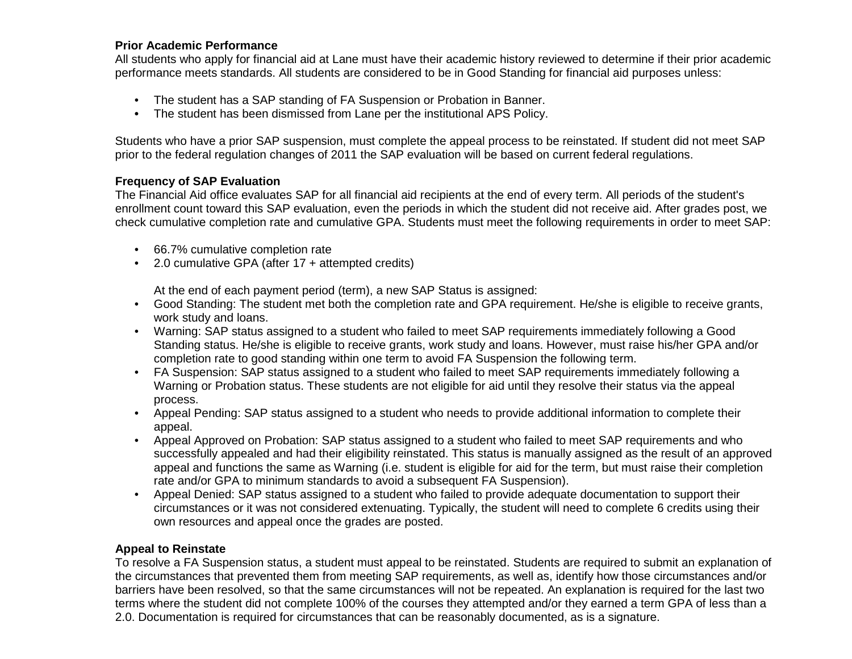#### **Prior Academic Performance**

All students who apply for financial aid at Lane must have their academic history reviewed to determine if their prior academic performance meets standards. All students are considered to be in Good Standing for financial aid purposes unless:

- The student has a SAP standing of FA Suspension or Probation in Banner.
- **•** The student has been dismissed from Lane per the institutional APS Policy.

Students who have a prior SAP suspension, must complete the appeal process to be reinstated. If student did not meet SAP prior to the federal regulation changes of 2011 the SAP evaluation will be based on current federal regulations.

#### **Frequency of SAP Evaluation**

The Financial Aid office evaluates SAP for all financial aid recipients at the end of every term. All periods of the student's enrollment count toward this SAP evaluation, even the periods in which the student did not receive aid. After grades post, we check cumulative completion rate and cumulative GPA. Students must meet the following requirements in order to meet SAP:

- 66.7% cumulative completion rate
- 2.0 cumulative GPA (after 17 + attempted credits)

At the end of each payment period (term), a new SAP Status is assigned:

- Good Standing: The student met both the completion rate and GPA requirement. He/she is eligible to receive grants, work study and loans.
- Warning: SAP status assigned to a student who failed to meet SAP requirements immediately following a Good Standing status. He/she is eligible to receive grants, work study and loans. However, must raise his/her GPA and/or completion rate to good standing within one term to avoid FA Suspension the following term.
- FA Suspension: SAP status assigned to a student who failed to meet SAP requirements immediately following a Warning or Probation status. These students are not eligible for aid until they resolve their status via the appeal process.
- Appeal Pending: SAP status assigned to a student who needs to provide additional information to complete their appeal.
- Appeal Approved on Probation: SAP status assigned to a student who failed to meet SAP requirements and who successfully appealed and had their eligibility reinstated. This status is manually assigned as the result of an approved appeal and functions the same as Warning (i.e. student is eligible for aid for the term, but must raise their completion rate and/or GPA to minimum standards to avoid a subsequent FA Suspension).
- Appeal Denied: SAP status assigned to a student who failed to provide adequate documentation to support their circumstances or it was not considered extenuating. Typically, the student will need to complete 6 credits using their own resources and appeal once the grades are posted.

#### **Appeal to Reinstate**

To resolve a FA Suspension status, a student must appeal to be reinstated. Students are required to submit an explanation of the circumstances that prevented them from meeting SAP requirements, as well as, identify how those circumstances and/or barriers have been resolved, so that the same circumstances will not be repeated. An explanation is required for the last two terms where the student did not complete 100% of the courses they attempted and/or they earned a term GPA of less than a 2.0. Documentation is required for circumstances that can be reasonably documented, as is a signature.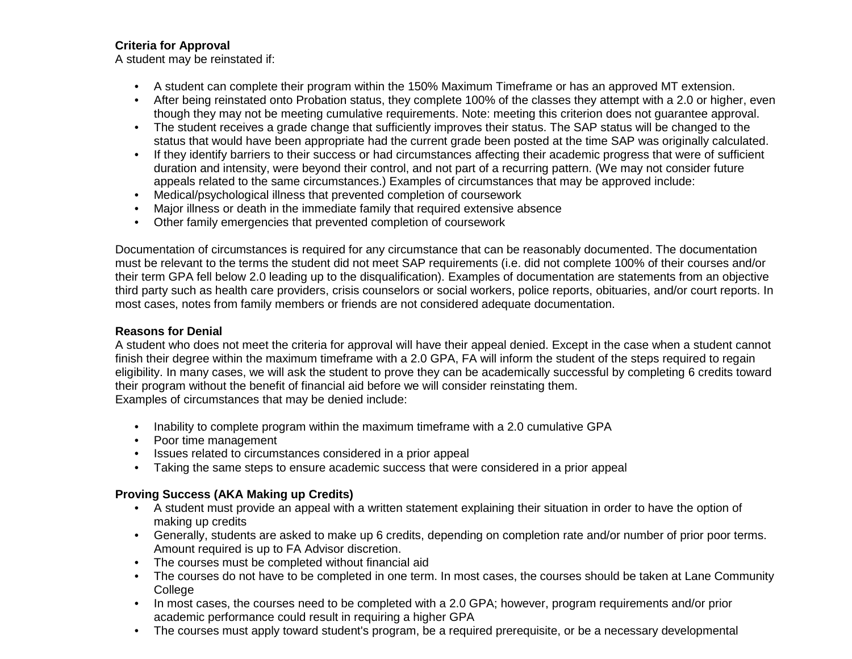### **Criteria for Approval**

A student may be reinstated if:

- A student can complete their program within the 150% Maximum Timeframe or has an approved MT extension.
- After being reinstated onto Probation status, they complete 100% of the classes they attempt with a 2.0 or higher, even though they may not be meeting cumulative requirements. Note: meeting this criterion does not guarantee approval.
- The student receives a grade change that sufficiently improves their status. The SAP status will be changed to the status that would have been appropriate had the current grade been posted at the time SAP was originally calculated.
- If they identify barriers to their success or had circumstances affecting their academic progress that were of sufficient duration and intensity, were beyond their control, and not part of a recurring pattern. (We may not consider future appeals related to the same circumstances.) Examples of circumstances that may be approved include:
- Medical/psychological illness that prevented completion of coursework
- Major illness or death in the immediate family that required extensive absence
- Other family emergencies that prevented completion of coursework

Documentation of circumstances is required for any circumstance that can be reasonably documented. The documentation must be relevant to the terms the student did not meet SAP requirements (i.e. did not complete 100% of their courses and/or their term GPA fell below 2.0 leading up to the disqualification). Examples of documentation are statements from an objective third party such as health care providers, crisis counselors or social workers, police reports, obituaries, and/or court reports. In most cases, notes from family members or friends are not considered adequate documentation.

## **Reasons for Denial**

A student who does not meet the criteria for approval will have their appeal denied. Except in the case when a student cannot finish their degree within the maximum timeframe with a 2.0 GPA, FA will inform the student of the steps required to regain eligibility. In many cases, we will ask the student to prove they can be academically successful by completing 6 credits toward their program without the benefit of financial aid before we will consider reinstating them. Examples of circumstances that may be denied include:

- Inability to complete program within the maximum timeframe with a 2.0 cumulative GPA
- Poor time management
- Issues related to circumstances considered in a prior appeal
- Taking the same steps to ensure academic success that were considered in a prior appeal

# **Proving Success (AKA Making up Credits)**

- A student must provide an appeal with a written statement explaining their situation in order to have the option of making up credits
- Generally, students are asked to make up 6 credits, depending on completion rate and/or number of prior poor terms. Amount required is up to FA Advisor discretion.
- The courses must be completed without financial aid
- The courses do not have to be completed in one term. In most cases, the courses should be taken at Lane Community College
- In most cases, the courses need to be completed with a 2.0 GPA; however, program requirements and/or prior academic performance could result in requiring a higher GPA
- The courses must apply toward student's program, be a required prerequisite, or be a necessary developmental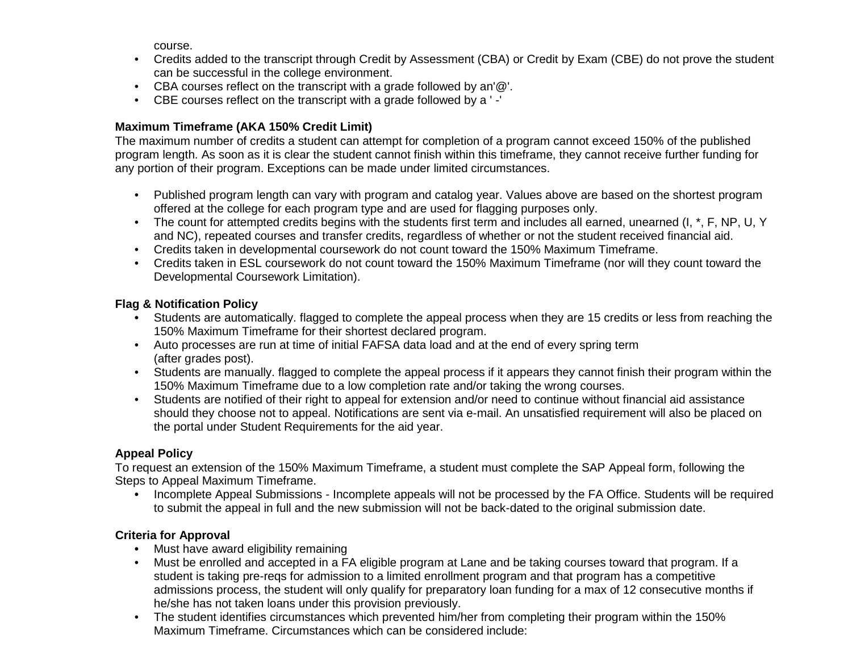course.

- Credits added to the transcript through Credit by Assessment (CBA) or Credit by Exam (CBE) do not prove the student can be successful in the college environment.
- CBA courses reflect on the transcript with a grade followed by an'@'.
- CBE courses reflect on the transcript with a grade followed by a ' -'

## **Maximum Timeframe (AKA 150% Credit Limit)**

The maximum number of credits a student can attempt for completion of a program cannot exceed 150% of the published program length. As soon as it is clear the student cannot finish within this timeframe, they cannot receive further funding for any portion of their program. Exceptions can be made under limited circumstances.

- Published program length can vary with program and catalog year. Values above are based on the shortest program offered at the college for each program type and are used for flagging purposes only.
- The count for attempted credits begins with the students first term and includes all earned, unearned (I, \*, F, NP, U, Y and NC), repeated courses and transfer credits, regardless of whether or not the student received financial aid.
- Credits taken in developmental coursework do not count toward the 150% Maximum Timeframe.
- Credits taken in ESL coursework do not count toward the 150% Maximum Timeframe (nor will they count toward the Developmental Coursework Limitation).

## **Flag & Notification Policy**

- **•** Students are automatically. flagged to complete the appeal process when they are 15 credits or less from reaching the 150% Maximum Timeframe for their shortest declared program.
- Auto processes are run at time of initial FAFSA data load and at the end of every spring term (after grades post).
- Students are manually. flagged to complete the appeal process if it appears they cannot finish their program within the 150% Maximum Timeframe due to a low completion rate and/or taking the wrong courses.
- Students are notified of their right to appeal for extension and/or need to continue without financial aid assistance should they choose not to appeal. Notifications are sent via e-mail. An unsatisfied requirement will also be placed on the portal under Student Requirements for the aid year.

# **Appeal Policy**

To request an extension of the 150% Maximum Timeframe, a student must complete the SAP Appeal form, following the Steps to Appeal Maximum Timeframe.

**•** Incomplete Appeal Submissions - Incomplete appeals will not be processed by the FA Office. Students will be required to submit the appeal in full and the new submission will not be back-dated to the original submission date.

## **Criteria for Approval**

- **•** Must have award eligibility remaining
- Must be enrolled and accepted in a FA eligible program at Lane and be taking courses toward that program. If a student is taking pre-reqs for admission to a limited enrollment program and that program has a competitive admissions process, the student will only qualify for preparatory loan funding for a max of 12 consecutive months if he/she has not taken loans under this provision previously.
- The student identifies circumstances which prevented him/her from completing their program within the 150% Maximum Timeframe. Circumstances which can be considered include: